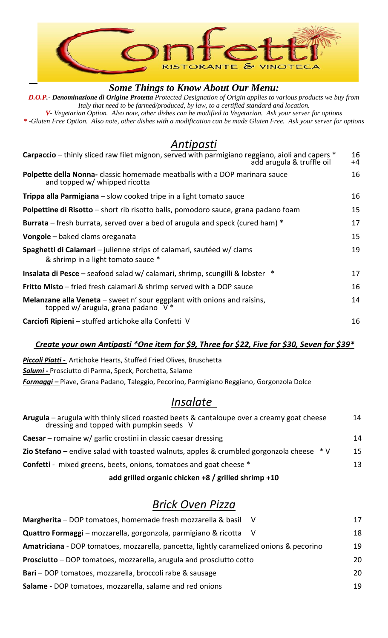

#### *Some Things to Know About Our Menu:*

*D.O.P.- Denominazione di Origine Protetta Protected Designation of Origin applies to various products we buy from Italy that need to be farmed/produced, by law, to a certified standard and location. V- Vegetarian Option. Also note, other dishes can be modified to Vegetarian. Ask your server for options*

*\* -Gluten Free Option. Also note, other dishes with a modification can be made Gluten Free. Ask your server for options*

### *Antipasti*

| <b>Carpaccio</b> – thinly sliced raw filet mignon, served with parmigiano reggiano, aioli and capers *<br>add arugula & truffle oil | 16<br>$+4$ |
|-------------------------------------------------------------------------------------------------------------------------------------|------------|
| <b>Polpette della Nonna-</b> classic homemade meatballs with a DOP marinara sauce<br>and topped w/ whipped ricotta                  | 16         |
| <b>Trippa alla Parmigiana</b> $-$ slow cooked tripe in a light tomato sauce                                                         | 16         |
| Polpettine di Risotto - short rib risotto balls, pomodoro sauce, grana padano foam                                                  | 15         |
| <b>Burrata</b> – fresh burrata, served over a bed of arugula and speck (cured ham) *                                                | 17         |
| <b>Vongole</b> – baked clams oreganata                                                                                              | 15         |
| Spaghetti di Calamari – julienne strips of calamari, sautéed w/ clams<br>& shrimp in a light tomato sauce *                         | 19         |
| <b>Insalata di Pesce</b> – seafood salad w/ calamari, shrimp, scungilli & lobster *                                                 | 17         |
| <b>Fritto Misto</b> – fried fresh calamari & shrimp served with a DOP sauce                                                         | 16         |
| <b>Melanzane alla Veneta</b> – sweet n' sour eggplant with onions and raisins,<br>topped w/ arugula, grana padano $V^*$             | 14         |
| <b>Carciofi Ripieni</b> – stuffed artichoke alla Confetti V                                                                         | 16         |

#### *Create your own Antipasti \*One item for \$9, Three for \$22, Five for \$30, Seven for \$39\**

*Piccoli Piatti -* Artichoke Hearts, Stuffed Fried Olives, Bruschetta *Salumi -* Prosciutto di Parma, Speck, Porchetta, Salame *Formaggi –* Piave, Grana Padano, Taleggio, Pecorino, Parmigiano Reggiano, Gorgonzola Dolce

## *Insalate*

| <b>Arugula</b> – arugula with thinly sliced roasted beets & cantaloupe over a creamy goat cheese dressing and topped with pumpkin seeds $V$ | 14 |
|---------------------------------------------------------------------------------------------------------------------------------------------|----|
| <b>Caesar</b> – romaine $w/$ garlic crostini in classic caesar dressing                                                                     | 14 |
| <b>Zio Stefano</b> – endive salad with toasted walnuts, apples & crumbled gorgonzola cheese $*$ V                                           | 15 |
| <b>Confetti</b> - mixed greens, beets, onions, tomatoes and goat cheese *                                                                   | 13 |
| add grilled organic chicken +8 / grilled shrimp +10                                                                                         |    |

# *Brick Oven Pizza*

| Margherita - DOP tomatoes, homemade fresh mozzarella & basil V                          | 17 |
|-----------------------------------------------------------------------------------------|----|
| Quattro Formaggi - mozzarella, gorgonzola, parmigiano & ricotta V                       | 18 |
| Amatriciana - DOP tomatoes, mozzarella, pancetta, lightly caramelized onions & pecorino | 19 |
| Prosciutto – DOP tomatoes, mozzarella, arugula and prosciutto cotto                     | 20 |
| Bari – DOP tomatoes, mozzarella, broccoli rabe & sausage                                | 20 |
| Salame - DOP tomatoes, mozzarella, salame and red onions                                | 19 |